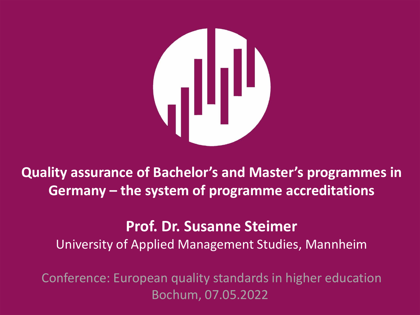

**Quality assurance of Bachelor's and Master's programmes in Germany – the system of programme accreditations** 

#### **Prof. Dr. Susanne Steimer**

University of Applied Management Studies, Mannheim

**HdWM** HOCHSCHULE DER WIRTSCHAFT FÜR MANAGEMENT Conference: European quality standards in higher education Bochum, 07.05.2022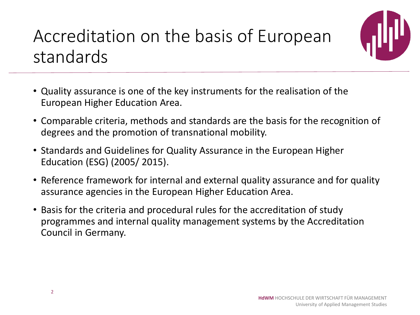## Accreditation on the basis of European standards



- Quality assurance is one of the key instruments for the realisation of the European Higher Education Area.
- Comparable criteria, methods and standards are the basis for the recognition of degrees and the promotion of transnational mobility.
- Standards and Guidelines for Quality Assurance in the European Higher Education (ESG) (2005/ 2015).
- Reference framework for internal and external quality assurance and for quality assurance agencies in the European Higher Education Area.
- Basis for the criteria and procedural rules for the accreditation of study programmes and internal quality management systems by the Accreditation Council in Germany.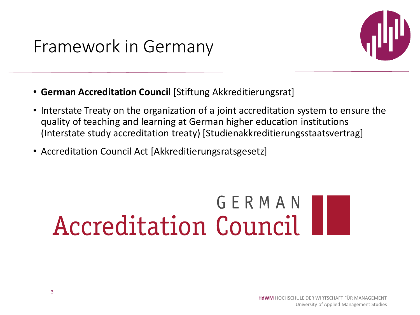#### Framework in Germany



- **German Accreditation Council** [Stiftung Akkreditierungsrat]
- Interstate Treaty on the organization of a joint accreditation system to ensure the quality of teaching and learning at German higher education institutions (Interstate study accreditation treaty) [Studienakkreditierungsstaatsvertrag]
- Accreditation Council Act [Akkreditierungsratsgesetz]

# GERMAN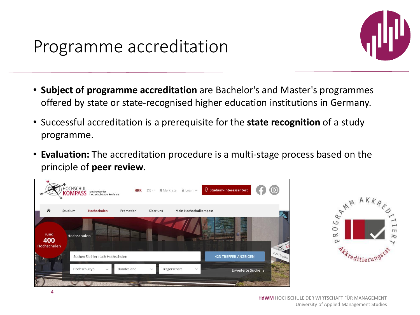

- **Subject of programme accreditation** are Bachelor's and Master's programmes offered by state or state-recognised higher education institutions in Germany.
- Successful accreditation is a prerequisite for the **state recognition** of a study programme.
- **Evaluation:** The accreditation procedure is a multi-stage process based on the principle of **peer review**.



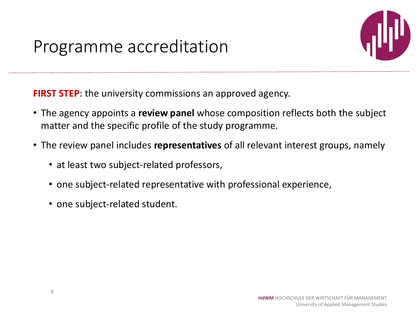## Programme accreditation



**FIRST STEP:** the university commissions an approved agency.

- The agency appoints a **review panel** whose composition reflects both the subject matter and the specific profile of the study programme.
- The review panel includes **representatives** of all relevant interest groups, namely
	- at least two subject-related professors,
	- one subject-related representative with professional experience,
	- one subject-related student.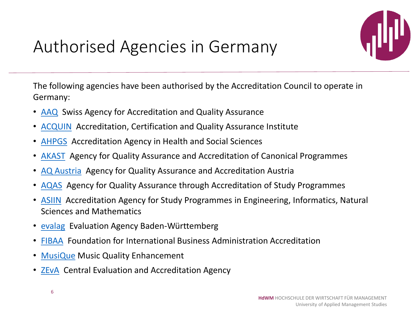

## Authorised Agencies in Germany

The following agencies have been authorised by the Accreditation Council to operate in Germany:

- [AAQ](https://aaq.ch/) Swiss Agency for Accreditation and Quality Assurance
- [ACQUIN](https://www.acquin.org/) Accreditation, Certification and Quality Assurance Institute
- [AHPGS](https://ahpgs.de/) Accreditation Agency in Health and Social Sciences
- [AKAST](https://www.akkreditierungsrat.de/en/akast-ev) Agency for Quality Assurance and Accreditation of Canonical Programmes
- [AQ Austria](https://www.aq.ac.at/de/) Agency for Quality Assurance and Accreditation Austria
- [AQAS](https://www.aqas.de/) Agency for Quality Assurance through Accreditation of Study Programmes
- [ASIIN](https://www.asiin.de/de/home.html) Accreditation Agency for Study Programmes in Engineering, Informatics, Natural Sciences and Mathematics
- [evalag](http://www.evalag.de/) Evaluation Agency Baden-Württemberg
- [FIBAA](https://www.fibaa.org/startseite/) Foundation for International Business Administration Accreditation
- [MusiQue](http://www.musique-qe.eu/about-musique) Music Quality Enhancement
- [ZEvA](https://www.zeva.org/) Central Evaluation and Accreditation Agency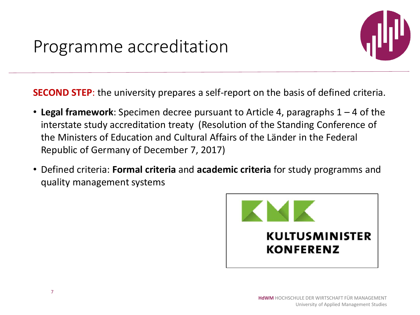

**SECOND STEP**: the university prepares a self-report on the basis of defined criteria.

- **Legal framework**: Specimen decree pursuant to Article 4, paragraphs 1 4 of the interstate study accreditation treaty (Resolution of the Standing Conference of the Ministers of Education and Cultural Affairs of the Länder in the Federal Republic of Germany of December 7, 2017)
- Defined criteria: **Formal criteria** and **academic criteria** for study programms and quality management systems

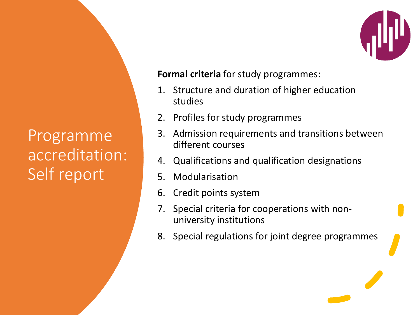## Programme accreditation: Self report

**Formal criteria** for study programmes:

- 1. Structure and duration of higher education studies
- 2. Profiles for study programmes
- 3. Admission requirements and transitions between different courses
- 4. Qualifications and qualification designations
- 5. Modularisation
- 6. Credit points system
- 7. Special criteria for cooperations with nonuniversity institutions
- 8. Special regulations for joint degree programmes

**Hochschule Der Wirtschaft Für Management Für Management Für Management Für Management Für Management Für Management Für Management Für Management Für Management Für Management Für Management Für Management Für Management**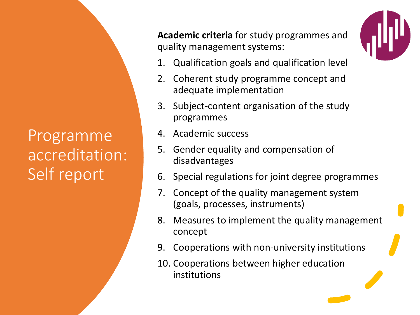## Programme accreditation: Self report

**Academic criteria** for study programmes and quality management systems:



- 1. Qualification goals and qualification level
- 2. Coherent study programme concept and adequate implementation
- 3. Subject-content organisation of the study programmes
- 4. Academic success
- 5. Gender equality and compensation of disadvantages
- 6. Special regulations for joint degree programmes
- 7. Concept of the quality management system (goals, processes, instruments)
- 8. Measures to implement the quality management concept

**Hochschule Der Wirtschaft Für Management Für Management Für Management Für Management Für Management Für Management Für Management Für Management Für Management Für Management Für Management Für Management Für Management** 

- 9. Cooperations with non-university institutions
- 10. Cooperations between higher education institutions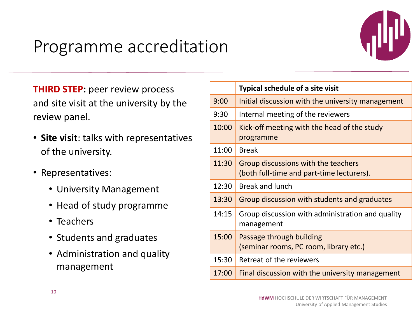## Programme accreditation



**THIRD STEP:** peer review process and site visit at the university by the review panel.

- **Site visit**: talks with representatives of the university.
- Representatives:
	- University Management
	- Head of study programme
	- Teachers
	- Students and graduates
	- Administration and quality management

|       | <b>Typical schedule of a site visit</b>                                          |
|-------|----------------------------------------------------------------------------------|
| 9:00  | Initial discussion with the university management                                |
| 9:30  | Internal meeting of the reviewers                                                |
| 10:00 | Kick-off meeting with the head of the study<br>programme                         |
| 11:00 | <b>Break</b>                                                                     |
| 11:30 | Group discussions with the teachers<br>(both full-time and part-time lecturers). |
| 12:30 | <b>Break and lunch</b>                                                           |
| 13:30 | Group discussion with students and graduates                                     |
| 14:15 | Group discussion with administration and quality<br>management                   |
| 15:00 | Passage through building<br>(seminar rooms, PC room, library etc.)               |
| 15:30 | Retreat of the reviewers                                                         |
| 17:00 | Final discussion with the university management                                  |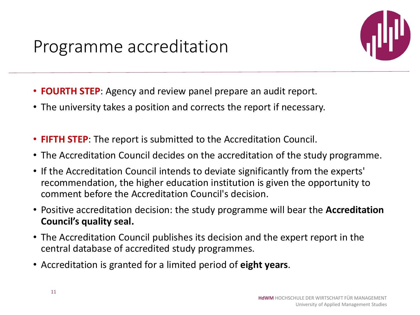

- **FOURTH STEP**: Agency and review panel prepare an audit report.
- The university takes a position and corrects the report if necessary.
- **FIFTH STEP**: The report is submitted to the Accreditation Council.
- The Accreditation Council decides on the accreditation of the study programme.
- If the Accreditation Council intends to deviate significantly from the experts' recommendation, the higher education institution is given the opportunity to comment before the Accreditation Council's decision.
- Positive accreditation decision: the study programme will bear the **Accreditation Council's quality seal.**
- The Accreditation Council publishes its decision and the expert report in the central database of accredited study programmes.
- Accreditation is granted for a limited period of **eight years**.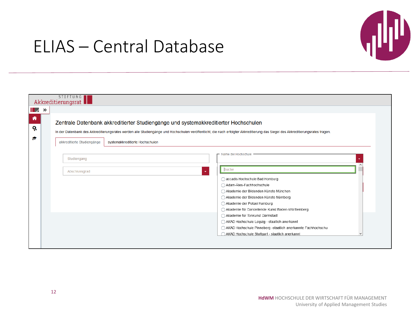

#### ELIAS – Central Database

| $\mathbb{I}$ $\vee$ $\mathbb{R}$ | STIFTUNG<br>Akkreditierungsrat |                                                                                                                                                                                                                                                                         |  |
|----------------------------------|--------------------------------|-------------------------------------------------------------------------------------------------------------------------------------------------------------------------------------------------------------------------------------------------------------------------|--|
|                                  |                                | Zentrale Datenbank akkreditierter Studiengänge und systemakkreditierter Hochschulen<br>In der Datenbank des Akkreditierungsrates werden alle Studiengänge und Hochschulen veröffentlicht, die nach erfolgter Akkreditierung das Siegel des Akkreditierungsrates tragen. |  |
|                                  | akkreditierte Studiengänge     | systemakkreditierte Hochschulen                                                                                                                                                                                                                                         |  |
|                                  | Studiengang                    | - Name der Hochschule                                                                                                                                                                                                                                                   |  |
|                                  | Abschlussgrad                  | Suche                                                                                                                                                                                                                                                                   |  |
|                                  |                                | accadis Hochschule Bad Homburg                                                                                                                                                                                                                                          |  |
|                                  |                                | Adam-Ries-Fachhochschule                                                                                                                                                                                                                                                |  |
|                                  |                                | Akademie der Bildenden Künste München                                                                                                                                                                                                                                   |  |
|                                  |                                | Akademie der Bildenden Künste Nürnberg<br>Akademie der Polizei Hamburg                                                                                                                                                                                                  |  |
|                                  |                                | Akademie für Darstellende Kunst Baden-Württemberg                                                                                                                                                                                                                       |  |
|                                  |                                | Akademie für Tonkunst Darmstadt                                                                                                                                                                                                                                         |  |
|                                  |                                | AKAD Hochschule Leipzig - staatlich anerkannt                                                                                                                                                                                                                           |  |
|                                  |                                | AKAD Hochschule Pinneberg -staatlich anerkannte Fachhochschu                                                                                                                                                                                                            |  |
|                                  |                                | AKAD Hochschule Stuttgart - staatlich anerkannt                                                                                                                                                                                                                         |  |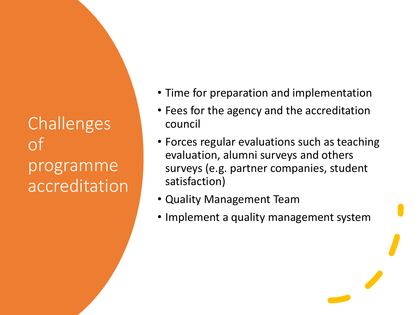Challenges of programme accreditation

- Time for preparation and implementation
- Fees for the agency and the accreditation council
- Forces regular evaluations such as teaching evaluation, alumni surveys and others surveys (e.g. partner companies, student satisfaction)
- Quality Management Team
- Implement a quality management system

**Hochschule Der Wirtschaft Für Management Für Management Für Management Für Management Für Management Für Management Für Management Für Management Für Management Für Management Für Management Für Management Für Management**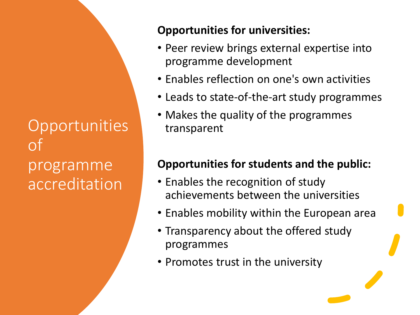**Opportunities** of programme accreditation

#### **Opportunities for universities:**

- Peer review brings external expertise into programme development
- Enables reflection on one's own activities
- Leads to state-of-the-art study programmes
- Makes the quality of the programmes transparent

#### **Opportunities for students and the public:**

- Enables the recognition of study achievements between the universities
- Enables mobility within the European area

**Hochschule Der Wirtschaft Für Management Für Management Für Management Für Management Für Management Für Management Für Management Für Management Für Management Für Management Für Management Für Management Für Management** 

- Transparency about the offered study programmes
- Promotes trust in the university